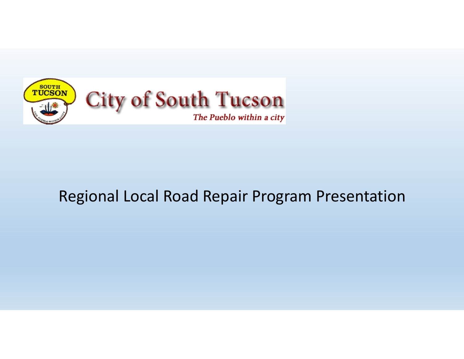

## Regional Local Road Repair Program Presentation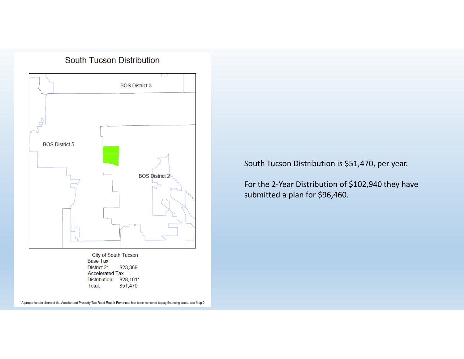

South Tucson Distribution is \$51,470, per year.

For the 2‐Year Distribution of \$102,940 they have submitted a plan for \$96,460.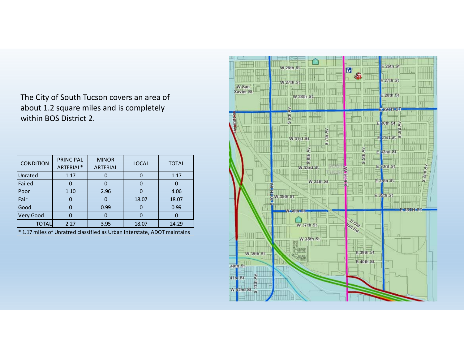The City of South Tucson covers an area of about 1.2 square miles and is completely within BOS District 2.

| <b>CONDITION</b> | <b>PRINCIPAL</b><br>ARTERIAL* | <b>MINOR</b><br><b>ARTERIAL</b> | <b>LOCAL</b> | <b>TOTAL</b> |
|------------------|-------------------------------|---------------------------------|--------------|--------------|
| Unrated          | 1.17                          |                                 |              | 1.17         |
| Failed           |                               |                                 |              |              |
| Poor             | 1.10                          | 2.96                            |              | 4.06         |
| Fair             |                               |                                 | 18.07        | 18.07        |
| Good             |                               | 0.99                            |              | 0.99         |
| Very Good        |                               |                                 |              |              |
| ΤΟΤΑΙ            | 2.27                          | 3.95                            | 18.07        | 24.29        |

\* 1.17 miles of Unratred classified as Urban Interstate, ADOT maintains

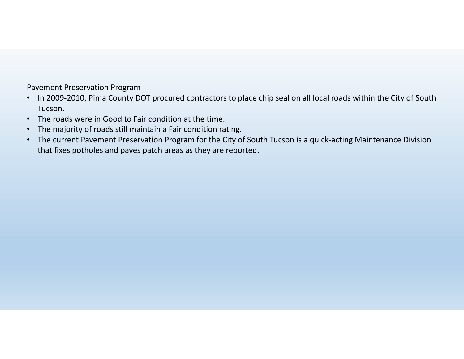Pavement Preservation Program

- In 2009‐2010, Pima County DOT procured contractors to place chip seal on all local roads within the City of South Tucson.
- •The roads were in Good to Fair condition at the time.
- $\bullet$ The majority of roads still maintain a Fair condition rating.
- • The current Pavement Preservation Program for the City of South Tucson is a quick‐acting Maintenance Division that fixes potholes and paves patch areas as they are reported.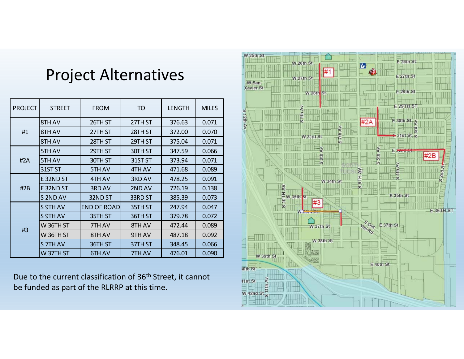## Project Alternatives

| <b>PROJECT</b> | <b>STREET</b> | <b>FROM</b>        | TO      | <b>LENGTH</b> | <b>MILES</b> |
|----------------|---------------|--------------------|---------|---------------|--------------|
| #1             | 8TH AV        | 26TH ST            | 27TH ST | 376.63        | 0.071        |
|                | 8TH AV        | 27TH ST            | 28TH ST | 372.00        | 0.070        |
|                | 8TH AV        | 28TH ST            | 29TH ST | 375.04        | 0.071        |
| #2A            | 5TH AV        | 29TH ST            | 30TH ST | 347.59        | 0.066        |
|                | 5TH AV        | 30TH ST            | 31ST ST | 373.94        | 0.071        |
|                | 31ST ST       | 5TH AV             | 4TH AV  | 471.68        | 0.089        |
| #2B            | E32ND ST      | 4TH AV             | 3RD AV  | 478.25        | 0.091        |
|                | E32ND ST      | 3RD AV             | 2ND AV  | 726.19        | 0.138        |
|                | S 2ND AV      | 32ND ST            | 33RD ST | 385.39        | 0.073        |
| #3             | S 9TH AV      | <b>END OF ROAD</b> | 35TH ST | 247.94        | 0.047        |
|                | S 9TH AV      | 35TH ST            | 36TH ST | 379.78        | 0.072        |
|                | W 36TH ST     | 7TH AV             | 8TH AV  | 472.44        | 0.089        |
|                | W 36TH ST     | 8TH AV             | 9TH AV  | 487.18        | 0.092        |
|                | S 7TH AV      | 36TH ST            | 37TH ST | 348.45        | 0.066        |
|                | W 37TH ST     | 6TH AV             | 7TH AV  | 476.01        | 0.090        |

Due to the current classification of 36th Street, it cannot be funded as part of the RLRRP at this time.